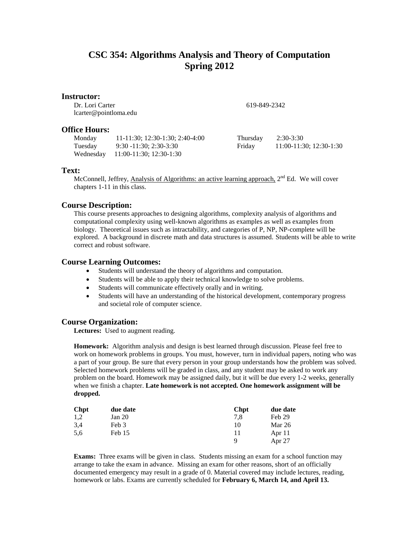# **CSC 354: Algorithms Analysis and Theory of Computation Spring 2012**

## **Instructor:**

Dr. Lori Carter lcarter@pointloma.edu 619-849-2342

# **Office Hours:**

| Monday  | 11-11:30; 12:30-1:30; 2:40-4:00   | Thursday | 2:30-3:30               |
|---------|-----------------------------------|----------|-------------------------|
| Tuesday | $9:30 - 11:30$ ; 2:30-3:30        | Friday   | 11:00-11:30; 12:30-1:30 |
|         | Wednesday 11:00-11:30; 12:30-1:30 |          |                         |

## **Text:**

McConnell, Jeffrey, Analysis of Algorithms: an active learning approach,  $2<sup>nd</sup>$  Ed. We will cover chapters 1-11 in this class.

## **Course Description:**

This course presents approaches to designing algorithms, complexity analysis of algorithms and computational complexity using well-known algorithms as examples as well as examples from biology. Theoretical issues such as intractability, and categories of P, NP, NP-complete will be explored. A background in discrete math and data structures is assumed. Students will be able to write correct and robust software.

## **Course Learning Outcomes:**

- Students will understand the theory of algorithms and computation.
- Students will be able to apply their technical knowledge to solve problems.
- Students will communicate effectively orally and in writing.
- Students will have an understanding of the historical development, contemporary progress and societal role of computer science.

# **Course Organization:**

**Lectures:** Used to augment reading.

**Homework:** Algorithm analysis and design is best learned through discussion. Please feel free to work on homework problems in groups. You must, however, turn in individual papers, noting who was a part of your group. Be sure that every person in your group understands how the problem was solved. Selected homework problems will be graded in class, and any student may be asked to work any problem on the board. Homework may be assigned daily, but it will be due every 1-2 weeks, generally when we finish a chapter. **Late homework is not accepted. One homework assignment will be dropped.**

| Chpt | due date | <b>Chpt</b> | due date |
|------|----------|-------------|----------|
| 1,2  | Jan 20   | 7.8         | Feb 29   |
| 3,4  | Feb 3    | 10          | Mar 26   |
| 5.6  | Feb 15   | 11          | Apr $11$ |
|      |          | Q           | Apr 27   |

**Exams:** Three exams will be given in class. Students missing an exam for a school function may arrange to take the exam in advance. Missing an exam for other reasons, short of an officially documented emergency may result in a grade of 0. Material covered may include lectures, reading, homework or labs. Exams are currently scheduled for **February 6, March 14, and April 13.**